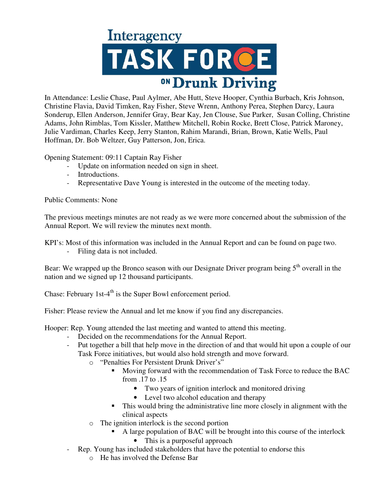

In Attendance: Leslie Chase, Paul Aylmer, Abe Hutt, Steve Hooper, Cynthia Burbach, Kris Johnson, Christine Flavia, David Timken, Ray Fisher, Steve Wrenn, Anthony Perea, Stephen Darcy, Laura Sonderup, Ellen Anderson, Jennifer Gray, Bear Kay, Jen Clouse, Sue Parker, Susan Colling, Christine Adams, John Rimblas, Tom Kissler, Matthew Mitchell, Robin Rocke, Brett Close, Patrick Maroney, Julie Vardiman, Charles Keep, Jerry Stanton, Rahim Marandi, Brian, Brown, Katie Wells, Paul Hoffman, Dr. Bob Weltzer, Guy Patterson, Jon, Erica.

Opening Statement: 09:11 Captain Ray Fisher

- Update on information needed on sign in sheet.
- Introductions.
- Representative Dave Young is interested in the outcome of the meeting today.

## Public Comments: None

The previous meetings minutes are not ready as we were more concerned about the submission of the Annual Report. We will review the minutes next month.

KPI's: Most of this information was included in the Annual Report and can be found on page two.

- Filing data is not included.

Bear: We wrapped up the Bronco season with our Designate Driver program being  $5<sup>th</sup>$  overall in the nation and we signed up 12 thousand participants.

Chase: February 1st- $4<sup>th</sup>$  is the Super Bowl enforcement period.

Fisher: Please review the Annual and let me know if you find any discrepancies.

Hooper: Rep. Young attended the last meeting and wanted to attend this meeting.

- Decided on the recommendations for the Annual Report.
- Put together a bill that help move in the direction of and that would hit upon a couple of our Task Force initiatives, but would also hold strength and move forward.
	- o "Penalties For Persistent Drunk Driver's"
		- Moving forward with the recommendation of Task Force to reduce the BAC from .17 to .15
			- Two years of ignition interlock and monitored driving
			- Level two alcohol education and therapy
		- This would bring the administrative line more closely in alignment with the clinical aspects
	- o The ignition interlock is the second portion
		- A large population of BAC will be brought into this course of the interlock
			- This is a purposeful approach
- Rep. Young has included stakeholders that have the potential to endorse this
	- o He has involved the Defense Bar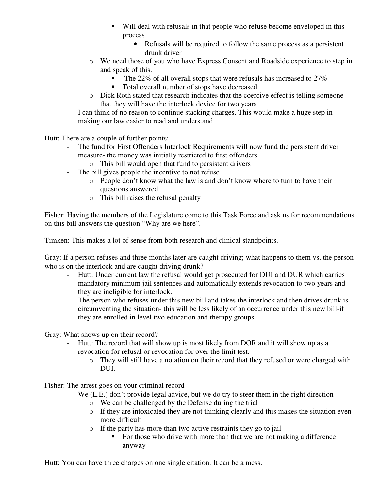- Will deal with refusals in that people who refuse become enveloped in this process
	- Refusals will be required to follow the same process as a persistent drunk driver
- o We need those of you who have Express Consent and Roadside experience to step in and speak of this.
	- $\blacksquare$  The 22% of all overall stops that were refusals has increased to 27%
	- Total overall number of stops have decreased
- o Dick Roth stated that research indicates that the coercive effect is telling someone that they will have the interlock device for two years
- I can think of no reason to continue stacking charges. This would make a huge step in making our law easier to read and understand.

Hutt: There are a couple of further points:

- The fund for First Offenders Interlock Requirements will now fund the persistent driver measure- the money was initially restricted to first offenders.
	- o This bill would open that fund to persistent drivers
- The bill gives people the incentive to not refuse
	- o People don't know what the law is and don't know where to turn to have their questions answered.
	- o This bill raises the refusal penalty

Fisher: Having the members of the Legislature come to this Task Force and ask us for recommendations on this bill answers the question "Why are we here".

Timken: This makes a lot of sense from both research and clinical standpoints.

Gray: If a person refuses and three months later are caught driving; what happens to them vs. the person who is on the interlock and are caught driving drunk?

- Hutt: Under current law the refusal would get prosecuted for DUI and DUR which carries mandatory minimum jail sentences and automatically extends revocation to two years and they are ineligible for interlock.
- The person who refuses under this new bill and takes the interlock and then drives drunk is circumventing the situation- this will be less likely of an occurrence under this new bill-if they are enrolled in level two education and therapy groups

Gray: What shows up on their record?

- Hutt: The record that will show up is most likely from DOR and it will show up as a revocation for refusal or revocation for over the limit test.
	- o They will still have a notation on their record that they refused or were charged with DUI.

Fisher: The arrest goes on your criminal record

- We (L.E.) don't provide legal advice, but we do try to steer them in the right direction
	- o We can be challenged by the Defense during the trial
	- o If they are intoxicated they are not thinking clearly and this makes the situation even more difficult
	- o If the party has more than two active restraints they go to jail
		- For those who drive with more than that we are not making a difference anyway

Hutt: You can have three charges on one single citation. It can be a mess.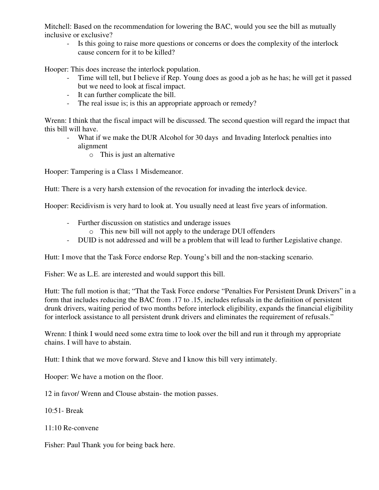Mitchell: Based on the recommendation for lowering the BAC, would you see the bill as mutually inclusive or exclusive?

- Is this going to raise more questions or concerns or does the complexity of the interlock cause concern for it to be killed?

Hooper: This does increase the interlock population.

- Time will tell, but I believe if Rep. Young does as good a job as he has; he will get it passed but we need to look at fiscal impact.
- It can further complicate the bill.
- The real issue is; is this an appropriate approach or remedy?

Wrenn: I think that the fiscal impact will be discussed. The second question will regard the impact that this bill will have.

- What if we make the DUR Alcohol for 30 days and Invading Interlock penalties into alignment
	- o This is just an alternative

Hooper: Tampering is a Class 1 Misdemeanor.

Hutt: There is a very harsh extension of the revocation for invading the interlock device.

Hooper: Recidivism is very hard to look at. You usually need at least five years of information.

- Further discussion on statistics and underage issues
	- o This new bill will not apply to the underage DUI offenders
- DUID is not addressed and will be a problem that will lead to further Legislative change.

Hutt: I move that the Task Force endorse Rep. Young's bill and the non-stacking scenario.

Fisher: We as L.E. are interested and would support this bill.

Hutt: The full motion is that; "That the Task Force endorse "Penalties For Persistent Drunk Drivers" in a form that includes reducing the BAC from .17 to .15, includes refusals in the definition of persistent drunk drivers, waiting period of two months before interlock eligibility, expands the financial eligibility for interlock assistance to all persistent drunk drivers and eliminates the requirement of refusals."

Wrenn: I think I would need some extra time to look over the bill and run it through my appropriate chains. I will have to abstain.

Hutt: I think that we move forward. Steve and I know this bill very intimately.

Hooper: We have a motion on the floor.

12 in favor/ Wrenn and Clouse abstain- the motion passes.

10:51- Break

11:10 Re-convene

Fisher: Paul Thank you for being back here.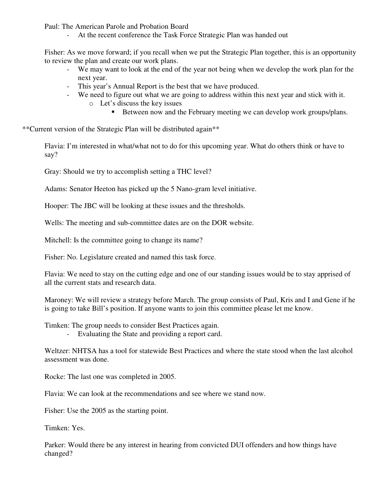Paul: The American Parole and Probation Board

- At the recent conference the Task Force Strategic Plan was handed out

Fisher: As we move forward; if you recall when we put the Strategic Plan together, this is an opportunity to review the plan and create our work plans.

- We may want to look at the end of the year not being when we develop the work plan for the next year.
- This year's Annual Report is the best that we have produced.
- We need to figure out what we are going to address within this next year and stick with it.
	- o Let's discuss the key issues
		- Between now and the February meeting we can develop work groups/plans.

\*\*Current version of the Strategic Plan will be distributed again\*\*

Flavia: I'm interested in what/what not to do for this upcoming year. What do others think or have to say?

Gray: Should we try to accomplish setting a THC level?

Adams: Senator Heeton has picked up the 5 Nano-gram level initiative.

Hooper: The JBC will be looking at these issues and the thresholds.

Wells: The meeting and sub-committee dates are on the DOR website.

Mitchell: Is the committee going to change its name?

Fisher: No. Legislature created and named this task force.

Flavia: We need to stay on the cutting edge and one of our standing issues would be to stay apprised of all the current stats and research data.

Maroney: We will review a strategy before March. The group consists of Paul, Kris and I and Gene if he is going to take Bill's position. If anyone wants to join this committee please let me know.

Timken: The group needs to consider Best Practices again.

- Evaluating the State and providing a report card.

Weltzer: NHTSA has a tool for statewide Best Practices and where the state stood when the last alcohol assessment was done.

Rocke: The last one was completed in 2005.

Flavia: We can look at the recommendations and see where we stand now.

Fisher: Use the 2005 as the starting point.

Timken: Yes.

Parker: Would there be any interest in hearing from convicted DUI offenders and how things have changed?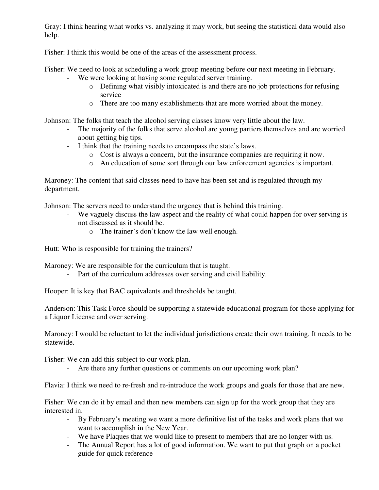Gray: I think hearing what works vs. analyzing it may work, but seeing the statistical data would also help.

Fisher: I think this would be one of the areas of the assessment process.

Fisher: We need to look at scheduling a work group meeting before our next meeting in February.

- We were looking at having some regulated server training.
	- o Defining what visibly intoxicated is and there are no job protections for refusing service
	- o There are too many establishments that are more worried about the money.

Johnson: The folks that teach the alcohol serving classes know very little about the law.

- The majority of the folks that serve alcohol are young partiers themselves and are worried about getting big tips.
- I think that the training needs to encompass the state's laws.
	- o Cost is always a concern, but the insurance companies are requiring it now.
	- o An education of some sort through our law enforcement agencies is important.

Maroney: The content that said classes need to have has been set and is regulated through my department.

Johnson: The servers need to understand the urgency that is behind this training.

- We vaguely discuss the law aspect and the reality of what could happen for over serving is not discussed as it should be.
	- o The trainer's don't know the law well enough.

Hutt: Who is responsible for training the trainers?

Maroney: We are responsible for the curriculum that is taught.

- Part of the curriculum addresses over serving and civil liability.

Hooper: It is key that BAC equivalents and thresholds be taught.

Anderson: This Task Force should be supporting a statewide educational program for those applying for a Liquor License and over serving.

Maroney: I would be reluctant to let the individual jurisdictions create their own training. It needs to be statewide.

Fisher: We can add this subject to our work plan.

Are there any further questions or comments on our upcoming work plan?

Flavia: I think we need to re-fresh and re-introduce the work groups and goals for those that are new.

Fisher: We can do it by email and then new members can sign up for the work group that they are interested in.

- By February's meeting we want a more definitive list of the tasks and work plans that we want to accomplish in the New Year.
- We have Plaques that we would like to present to members that are no longer with us.
- The Annual Report has a lot of good information. We want to put that graph on a pocket guide for quick reference